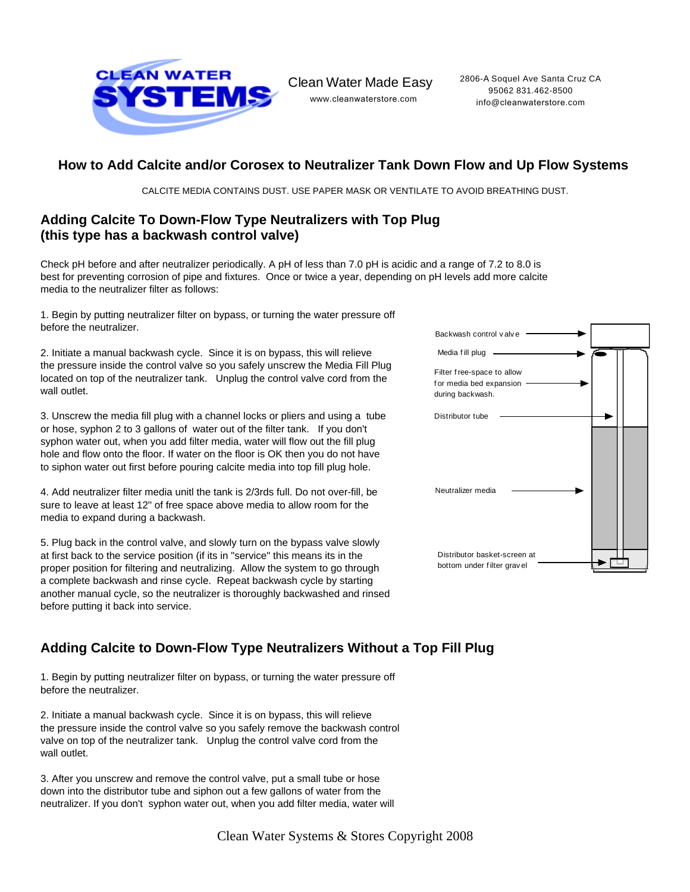

Clean Water Made Easy www.cleanwaterstore.com

2806-A Soquel Ave Santa Cruz CA 95062 831.462-8500 info@cleanwaterstore.com

## **How to Add Calcite and/or Corosex to Neutralizer Tank Down Flow and Up Flow Systems**

CALCITE MEDIA CONTAINS DUST. USE PAPER MASK OR VENTILATE TO AVOID BREATHING DUST.

### **Adding Calcite To Down-Flow Type Neutralizers with Top Plug (this type has a backwash control valve)**

Check pH before and after neutralizer periodically. A pH of less than 7.0 pH is acidic and a range of 7.2 to 8.0 is best for preventing corrosion of pipe and fixtures. Once or twice a year, depending on pH levels add more calcite media to the neutralizer filter as follows:

1. Begin by putting neutralizer filter on bypass, or turning the water pressure off before the neutralizer.

2. Initiate a manual backwash cycle. Since it is on bypass, this will relieve the pressure inside the control valve so you safely unscrew the Media Fill Plug located on top of the neutralizer tank. Unplug the control valve cord from the wall outlet.

3. Unscrew the media fill plug with a channel locks or pliers and using a tube or hose, syphon 2 to 3 gallons of water out of the filter tank. If you don't syphon water out, when you add filter media, water will flow out the fill plug hole and flow onto the floor. If water on the floor is OK then you do not have to siphon water out first before pouring calcite media into top fill plug hole.

4. Add neutralizer filter media unitl the tank is 2/3rds full. Do not over-fill, be sure to leave at least 12" of free space above media to allow room for the media to expand during a backwash.

5. Plug back in the control valve, and slowly turn on the bypass valve slowly at first back to the service position (if its in "service" this means its in the proper position for filtering and neutralizing. Allow the system to go through a complete backwash and rinse cycle. Repeat backwash cycle by starting another manual cycle, so the neutralizer is thoroughly backwashed and rinsed before putting it back into service.



# **Adding Calcite to Down-Flow Type Neutralizers Without a Top Fill Plug**

1. Begin by putting neutralizer filter on bypass, or turning the water pressure off before the neutralizer.

2. Initiate a manual backwash cycle. Since it is on bypass, this will relieve the pressure inside the control valve so you safely remove the backwash control valve on top of the neutralizer tank. Unplug the control valve cord from the wall outlet.

3. After you unscrew and remove the control valve, put a small tube or hose down into the distributor tube and siphon out a few gallons of water from the neutralizer. If you don't syphon water out, when you add filter media, water will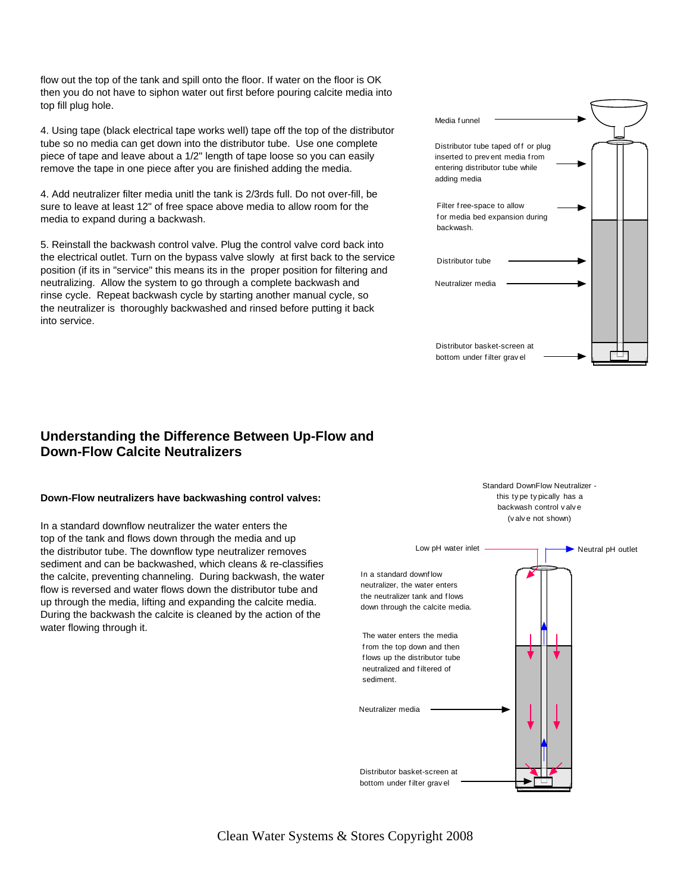flow out the top of the tank and spill onto the floor. If water on the floor is OK then you do not have to siphon water out first before pouring calcite media into top fill plug hole.

4. Using tape (black electrical tape works well) tape off the top of the distributor tube so no media can get down into the distributor tube. Use one complete piece of tape and leave about a 1/2" length of tape loose so you can easily remove the tape in one piece after you are finished adding the media.

4. Add neutralizer filter media unitl the tank is 2/3rds full. Do not over-fill, be sure to leave at least 12" of free space above media to allow room for the media to expand during a backwash.

5. Reinstall the backwash control valve. Plug the control valve cord back into the electrical outlet. Turn on the bypass valve slowly at first back to the service position (if its in "service" this means its in the proper position for filtering and neutralizing. Allow the system to go through a complete backwash and rinse cycle. Repeat backwash cycle by starting another manual cycle, so the neutralizer is thoroughly backwashed and rinsed before putting it back into service.

| Media funnel                                                                                                            |  |
|-------------------------------------------------------------------------------------------------------------------------|--|
| Distributor tube taped off or plug<br>inserted to prevent media from<br>entering distributor tube while<br>adding media |  |
| Filter free-space to allow<br>for media bed expansion during<br>backwash.                                               |  |
| Distributor tube                                                                                                        |  |
| Neutralizer media                                                                                                       |  |
|                                                                                                                         |  |
| Distributor basket-screen at<br>bottom under filter gravel                                                              |  |

Standard DownFlow Neutralizer this ty pe ty pically has a

### **Understanding the Difference Between Up-Flow and Down-Flow Calcite Neutralizers**

#### **Down-Flow neutralizers have backwashing control valves:**

In a standard downflow neutralizer the water enters the top of the tank and flows down through the media and up the distributor tube. The downflow type neutralizer removes sediment and can be backwashed, which cleans & re-classifies the calcite, preventing channeling. During backwash, the water flow is reversed and water flows down the distributor tube and up through the media, lifting and expanding the calcite media. During the backwash the calcite is cleaned by the action of the water flowing through it.



Clean Water Systems & Stores Copyright 2008